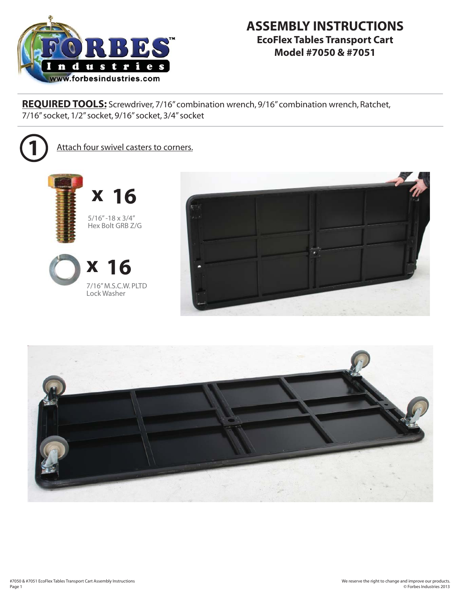

**REQUIRED TOOLS:** Screwdriver, 7/16" combination wrench, 9/16" combination wrench, Ratchet, 7/16" socket, 1/2" socket, 9/16" socket, 3/4" socket



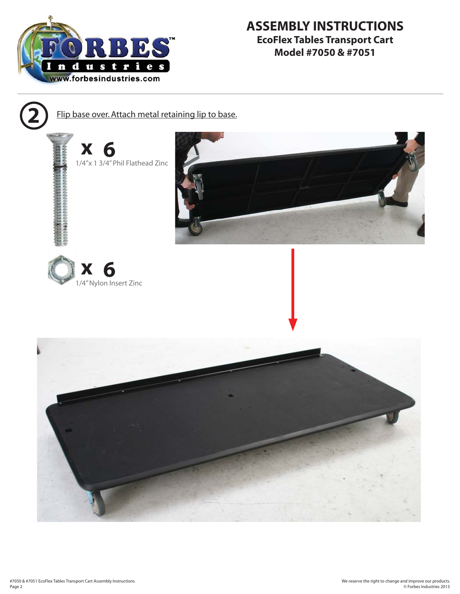



**2** Flip base over. Attach metal retaining lip to base.

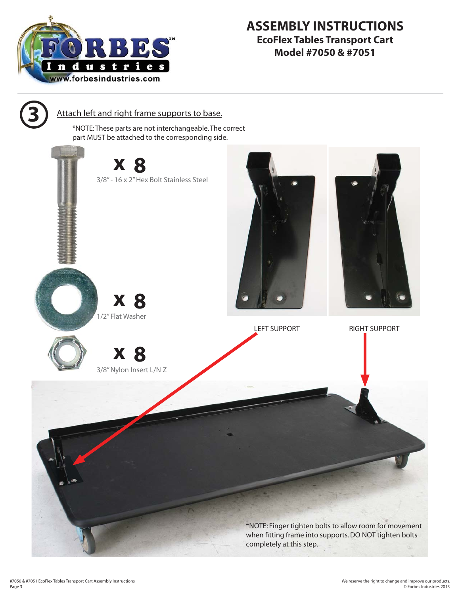

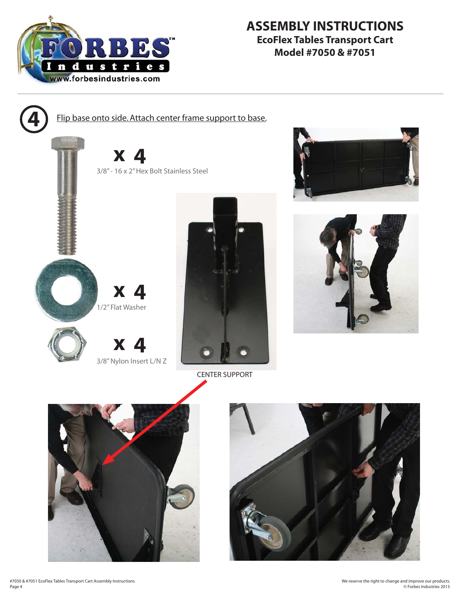

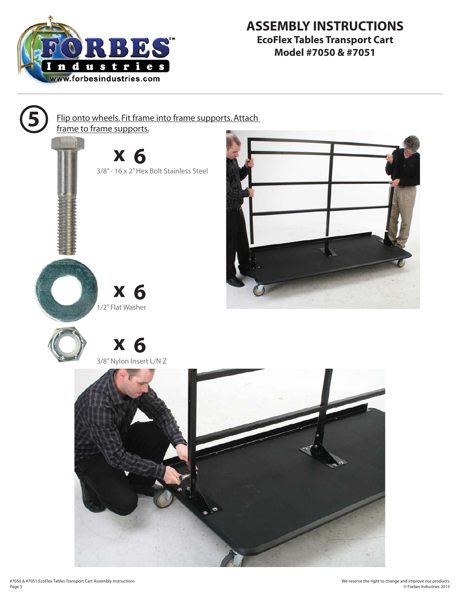

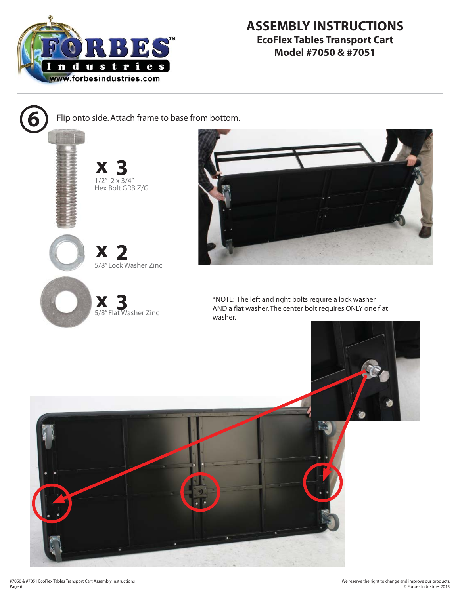

**x 3 x 2 x 3** 5/8" Flat Washer Zinc  $1/2$ " -2  $\times$  3/4" Hex Bolt GRB Z/G 5/8" Lock Washer Zinc Flip onto side. Attach frame to base from bottom.



\*NOTE: The left and right bolts require a lock washer AND a flat washer. The center bolt requires ONLY one flat washer.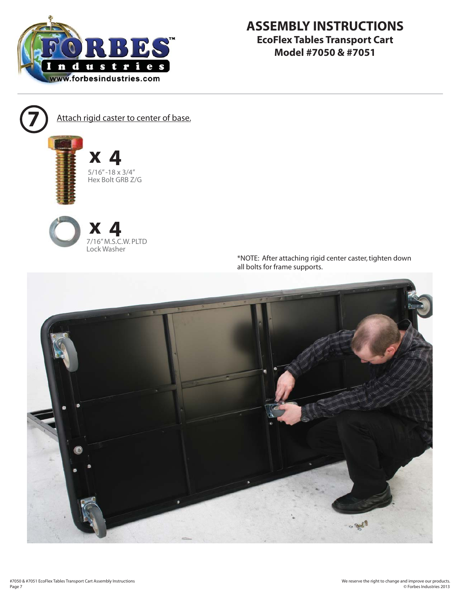

Attach rigid caster to center of base.







\*NOTE: After attaching rigid center caster, tighten down all bolts for frame supports.

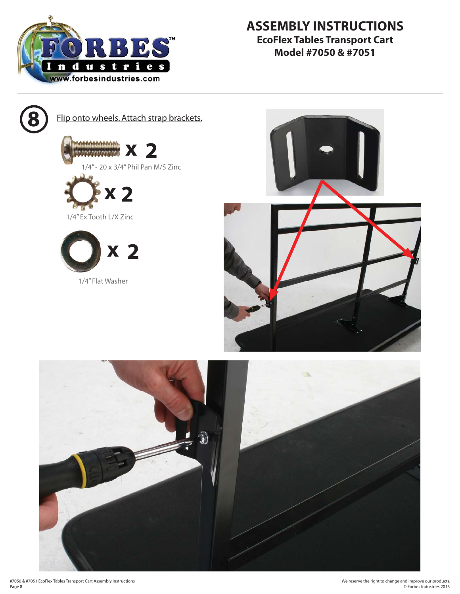



**Flip onto wheels. Attach strap brackets.** 









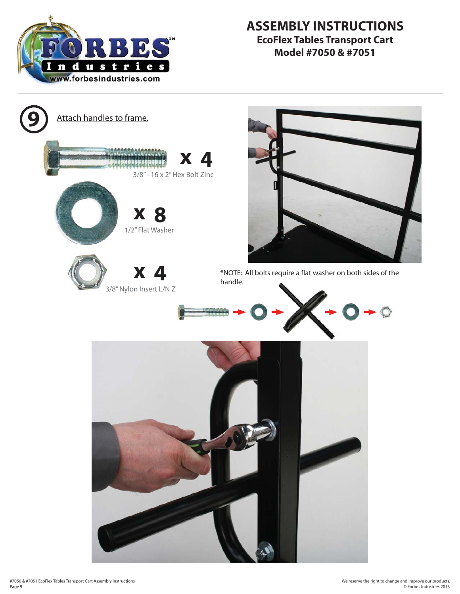

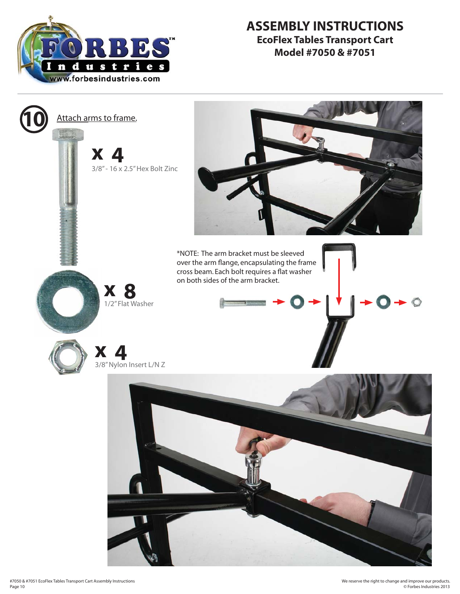